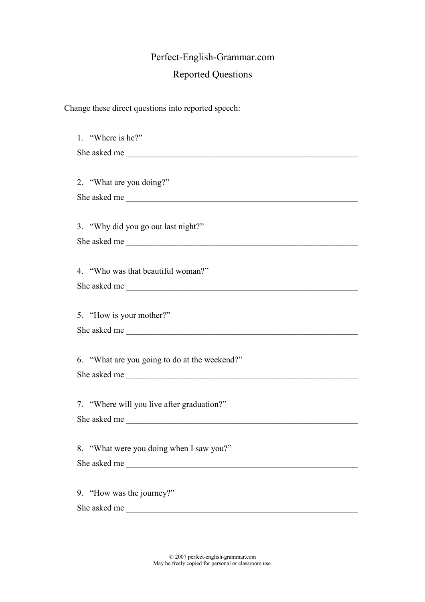## Perfect-English-Grammar.com Reported Questions

Change these direct questions into reported speech:

1. "Where is he?" She asked me 2. "What are you doing?" She asked me 3. "Why did you go out last night?" She asked me \_\_\_\_\_\_\_\_\_\_\_\_\_\_\_\_\_\_\_\_\_\_\_\_\_\_\_\_\_\_\_\_\_\_\_\_\_\_\_\_\_\_\_\_\_\_\_\_\_\_\_\_\_\_ 4. "Who was that beautiful woman?" She asked me 5. "How is your mother?" She asked me \_\_\_\_\_\_\_\_\_\_\_\_\_\_\_\_\_\_\_\_\_\_\_\_\_\_\_\_\_\_\_\_\_\_\_\_\_\_\_\_\_\_\_\_\_\_\_\_\_\_\_\_\_\_ 6. "What are you going to do at the weekend?" She asked me \_\_\_\_\_\_\_\_\_\_\_\_\_\_\_\_\_\_\_\_\_\_\_\_\_\_\_\_\_\_\_\_\_\_\_\_\_\_\_\_\_\_\_\_\_\_\_\_\_\_\_\_\_\_ 7. "Where will you live after graduation?" She asked me \_\_\_\_\_\_\_\_\_\_\_\_\_\_\_\_\_\_\_\_\_\_\_\_\_\_\_\_\_\_\_\_\_\_\_\_\_\_\_\_\_\_\_\_\_\_\_\_\_\_\_\_\_\_ 8. "What were you doing when I saw you?" She asked me \_\_\_\_\_\_\_\_\_\_\_\_\_\_\_\_\_\_\_\_\_\_\_\_\_\_\_\_\_\_\_\_\_\_\_\_\_\_\_\_\_\_\_\_\_\_\_\_\_\_\_\_\_\_ 9. "How was the journey?" She asked me \_\_\_\_\_\_\_\_\_\_\_\_\_\_\_\_\_\_\_\_\_\_\_\_\_\_\_\_\_\_\_\_\_\_\_\_\_\_\_\_\_\_\_\_\_\_\_\_\_\_\_\_\_\_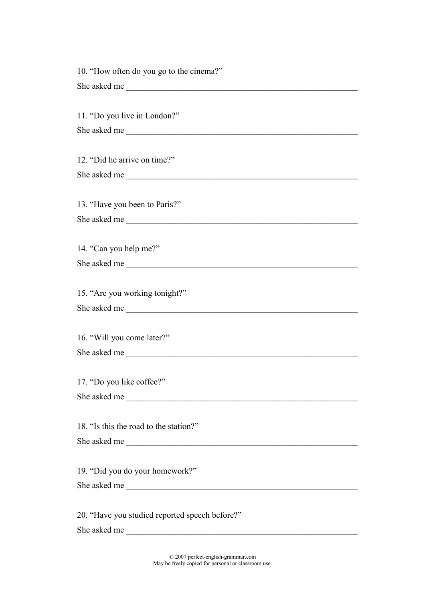10. "How often do you go to the cinema?" She asked me \_\_\_\_\_\_\_\_\_\_\_\_\_\_\_\_\_\_\_\_\_\_\_\_\_\_\_\_\_\_\_\_\_\_\_\_\_\_\_\_\_\_\_\_\_\_\_\_\_\_\_\_\_\_ 11. "Do you live in London?" She asked me \_\_\_\_\_\_\_\_\_\_\_\_\_\_\_\_\_\_\_\_\_\_\_\_\_\_\_\_\_\_\_\_\_\_\_\_\_\_\_\_\_\_\_\_\_\_\_\_\_\_\_\_\_\_ 12. "Did he arrive on time?" She asked me 13. "Have you been to Paris?" She asked me \_\_\_\_\_\_\_\_\_\_\_\_\_\_\_\_\_\_\_\_\_\_\_\_\_\_\_\_\_\_\_\_\_\_\_\_\_\_\_\_\_\_\_\_\_\_\_\_\_\_\_\_\_\_ 14. "Can you help me?" She asked me 15. "Are you working tonight?" She asked me 16. "Will you come later?" She asked me \_\_\_\_\_\_\_\_\_\_\_\_\_\_\_\_\_\_\_\_\_\_\_\_\_\_\_\_\_\_\_\_\_\_\_\_\_\_\_\_\_\_\_\_\_\_\_\_\_\_\_\_\_\_ 17. "Do you like coffee?" She asked me 18. "Is this the road to the station?" She asked me 19. "Did you do your homework?" She asked me 20. "Have you studied reported speech before?" She asked me \_\_\_\_\_\_\_\_\_\_\_\_\_\_\_\_\_\_\_\_\_\_\_\_\_\_\_\_\_\_\_\_\_\_\_\_\_\_\_\_\_\_\_\_\_\_\_\_\_\_\_\_\_\_